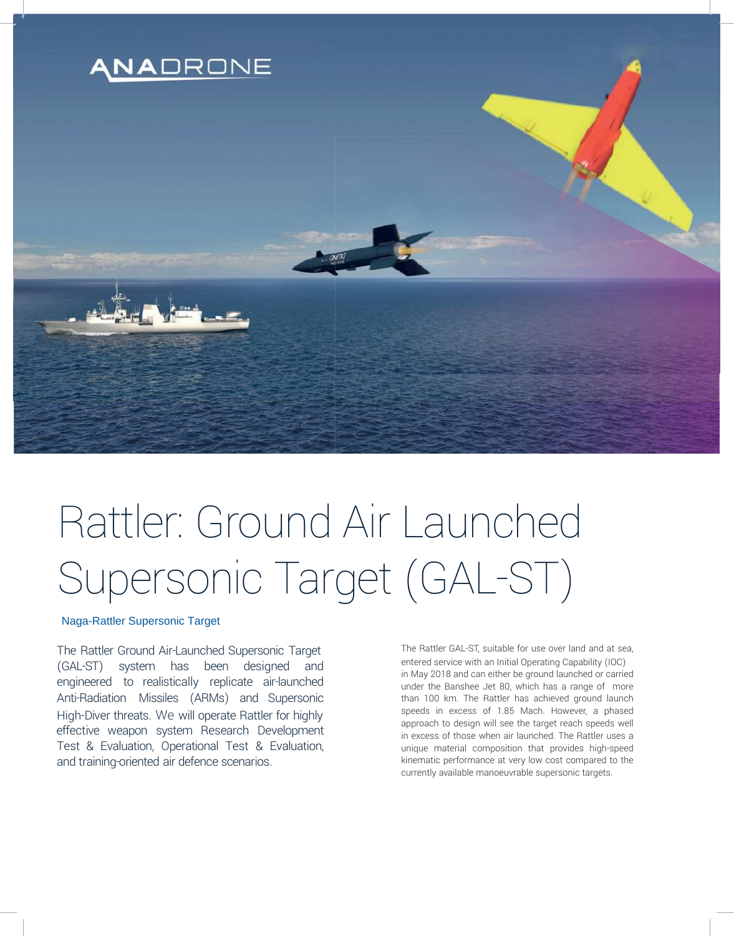

# Rattler: Ground Air Launched Supersonic Target (GAL-ST)

## Naga-Rattler Supersonic Target

The Rattler Ground Air-Launched Supersonic Target (GAL-ST) system has been designed and engineered to realistically replicate air-launched Anti-Radiation Missiles (ARMs) and Supersonic High-Diver threats. We will operate Rattler for highly effective weapon system Research Development Test & Evaluation, Operational Test & Evaluation, and training-oriented air defence scenarios.

The Rattler GAL-ST, suitable for use over land and at sea, entered service with an Initial Operating Capability (IOC) in May 2018 and can either be ground launched or carried under the Banshee Jet 80, which has a range of more than 100 km. The Rattler has achieved ground launch speeds in excess of 1.85 Mach. However, a phased approach to design will see the target reach speeds well in excess of those when air launched. The Rattler uses a unique material composition that provides high-speed kinematic performance at very low cost compared to the currently available manoeuvrable supersonic targets.